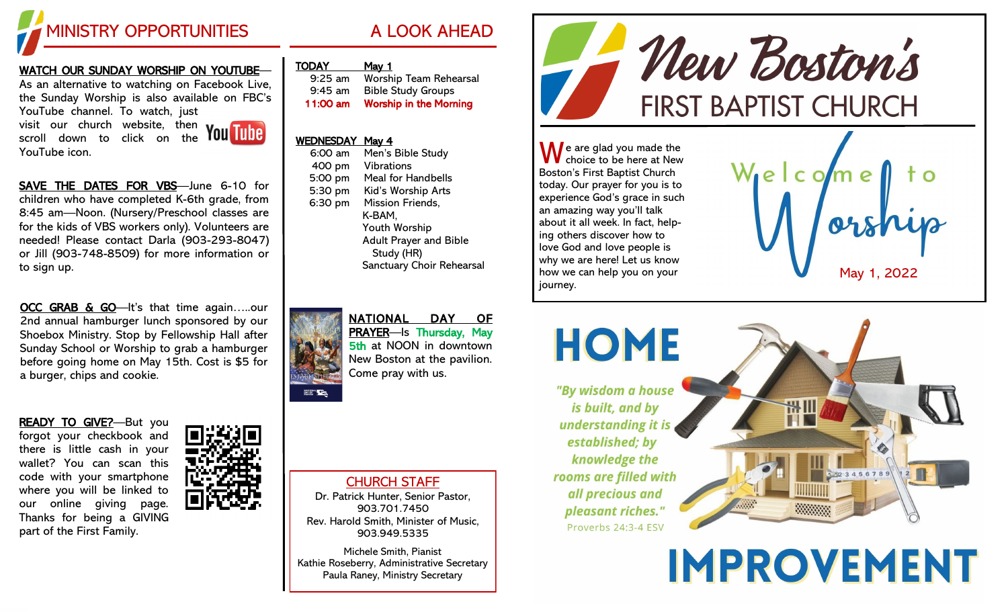

#### <u>WATCH OUR SUNDAY WORSHIP ON YOUTUBE</u>—

As an alternative to watching on Facebook Live, the Sunday Worship is also available on FBC's YouTube channel. To watch, just visit our church website, then

YouTube icon.

scroll down to click on the

SAVE THE DATES FOR VBS-June 6-10 for children who have completed K -6th grade, from 8:45 am —Noon. (Nursery/Preschool classes are for the kids of VBS workers only). Volunteers are needed! Please contact Darla (903 -293 -8047) or Jill (903 -748 -8509) for more information or to sign up.

OCC GRAB & GO-It's that time again.....our 2nd annual hamburger lunch sponsored by our Shoebox Ministry. Stop by Fellowship Hall after Sunday School or Worship to grab a hamburger before going home on May 15th. Cost is \$5 for a burger, chips and cookie.

READY TO GIVE?-But you forgot your checkbook and there is little cash in your wallet? You can scan this code with your smartphone where you will be linked to our online giving page. Thanks for being a GIVING part of the First Family.



| <b>TODAY</b> | viav |
|--------------|------|
|              |      |

| $9:25$ am | Worship Team Rehearsal        |
|-----------|-------------------------------|
| $9:45$ am | <b>Bible Study Groups</b>     |
| 11:00 am  | <b>Worship in the Morning</b> |

#### WEDNESDAY May 4

NATIONAL

| 6:00 am | Men's Bible Study             |
|---------|-------------------------------|
| 400 pm  | <b>Vibrations</b>             |
| 5:00 pm | <b>Meal for Handbells</b>     |
| 5:30 pm | Kid's Worship Arts            |
| 6:30 pm | <b>Mission Friends,</b>       |
|         | K-BAM.                        |
|         | Youth Worship                 |
|         | <b>Adult Prayer and Bible</b> |
|         | Study (HR)                    |
|         | Sanctuary Choir Rehearsal     |
|         |                               |



CHURCH STAFF

Dr. Patrick Hunter, Senior Pastor, 903.701.7450 Rev. Harold Smith, Minister of Music, 903.949.5335

Michele Smith, Pianist Kathie Roseberry, Administrative Secretary Paula Raney, Ministry Secretary



 $\sqrt{\phantom{a}}$ e are glad you made the choice to be here at New Boston's First Baptist Church today. Our prayer for you is to experience God's grace in such an amazing way you'll talk about it all week. In fact, helping others discover how to love God and love people is why we are here! Let us know how we can help you on your journey.





**IMPROVEMENT**